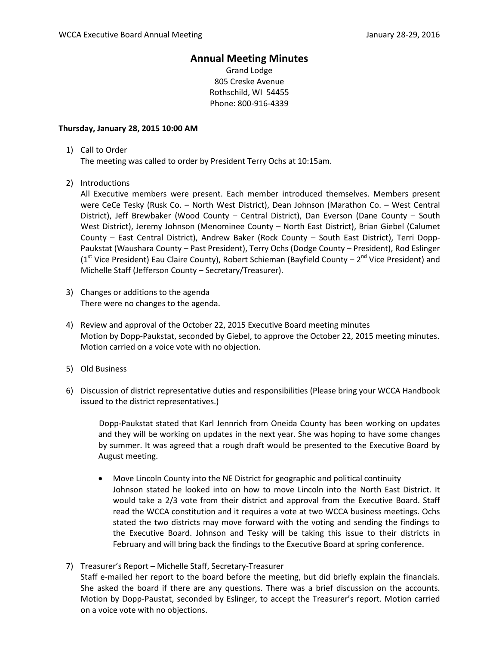## **Annual Meeting Minutes**

Grand Lodge 805 Creske Avenue Rothschild, WI 54455 Phone: 800-916-4339

## **Thursday, January 28, 2015 10:00 AM**

1) Call to Order

The meeting was called to order by President Terry Ochs at 10:15am.

2) Introductions

All Executive members were present. Each member introduced themselves. Members present were CeCe Tesky (Rusk Co. – North West District), Dean Johnson (Marathon Co. – West Central District), Jeff Brewbaker (Wood County – Central District), Dan Everson (Dane County – South West District), Jeremy Johnson (Menominee County – North East District), Brian Giebel (Calumet County – East Central District), Andrew Baker (Rock County – South East District), Terri Dopp-Paukstat (Waushara County – Past President), Terry Ochs (Dodge County – President), Rod Eslinger ( $1<sup>st</sup>$  Vice President) Eau Claire County), Robert Schieman (Bayfield County –  $2<sup>nd</sup>$  Vice President) and Michelle Staff (Jefferson County – Secretary/Treasurer).

- 3) Changes or additions to the agenda There were no changes to the agenda.
- 4) Review and approval of the October 22, 2015 Executive Board meeting minutes Motion by Dopp-Paukstat, seconded by Giebel, to approve the October 22, 2015 meeting minutes. Motion carried on a voice vote with no objection.
- 5) Old Business
- 6) Discussion of district representative duties and responsibilities (Please bring your WCCA Handbook issued to the district representatives.)

Dopp-Paukstat stated that Karl Jennrich from Oneida County has been working on updates and they will be working on updates in the next year. She was hoping to have some changes by summer. It was agreed that a rough draft would be presented to the Executive Board by August meeting.

- Move Lincoln County into the NE District for geographic and political continuity Johnson stated he looked into on how to move Lincoln into the North East District. It would take a 2/3 vote from their district and approval from the Executive Board. Staff read the WCCA constitution and it requires a vote at two WCCA business meetings. Ochs stated the two districts may move forward with the voting and sending the findings to the Executive Board. Johnson and Tesky will be taking this issue to their districts in February and will bring back the findings to the Executive Board at spring conference.
- 7) Treasurer's Report Michelle Staff, Secretary-Treasurer Staff e-mailed her report to the board before the meeting, but did briefly explain the financials. She asked the board if there are any questions. There was a brief discussion on the accounts. Motion by Dopp-Paustat, seconded by Eslinger, to accept the Treasurer's report. Motion carried on a voice vote with no objections.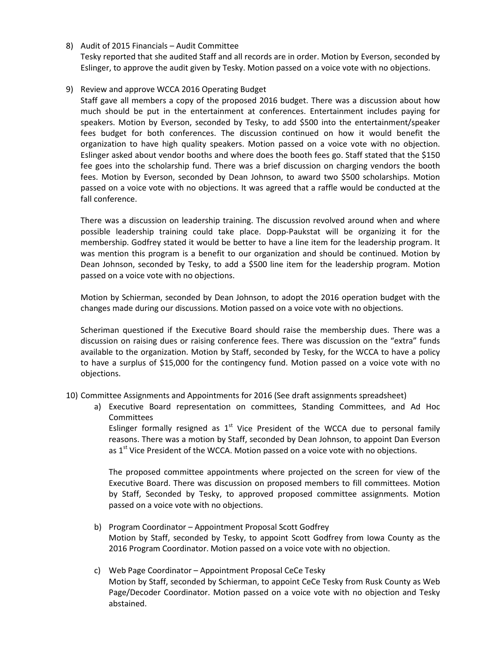8) Audit of 2015 Financials – Audit Committee

Tesky reported that she audited Staff and all records are in order. Motion by Everson, seconded by Eslinger, to approve the audit given by Tesky. Motion passed on a voice vote with no objections.

9) Review and approve WCCA 2016 Operating Budget

Staff gave all members a copy of the proposed 2016 budget. There was a discussion about how much should be put in the entertainment at conferences. Entertainment includes paying for speakers. Motion by Everson, seconded by Tesky, to add \$500 into the entertainment/speaker fees budget for both conferences. The discussion continued on how it would benefit the organization to have high quality speakers. Motion passed on a voice vote with no objection. Eslinger asked about vendor booths and where does the booth fees go. Staff stated that the \$150 fee goes into the scholarship fund. There was a brief discussion on charging vendors the booth fees. Motion by Everson, seconded by Dean Johnson, to award two \$500 scholarships. Motion passed on a voice vote with no objections. It was agreed that a raffle would be conducted at the fall conference.

There was a discussion on leadership training. The discussion revolved around when and where possible leadership training could take place. Dopp-Paukstat will be organizing it for the membership. Godfrey stated it would be better to have a line item for the leadership program. It was mention this program is a benefit to our organization and should be continued. Motion by Dean Johnson, seconded by Tesky, to add a \$500 line item for the leadership program. Motion passed on a voice vote with no objections.

Motion by Schierman, seconded by Dean Johnson, to adopt the 2016 operation budget with the changes made during our discussions. Motion passed on a voice vote with no objections.

Scheriman questioned if the Executive Board should raise the membership dues. There was a discussion on raising dues or raising conference fees. There was discussion on the "extra" funds available to the organization. Motion by Staff, seconded by Tesky, for the WCCA to have a policy to have a surplus of \$15,000 for the contingency fund. Motion passed on a voice vote with no objections.

- 10) Committee Assignments and Appointments for 2016 (See draft assignments spreadsheet)
	- a) Executive Board representation on committees, Standing Committees, and Ad Hoc **Committees**

Eslinger formally resigned as  $1<sup>st</sup>$  Vice President of the WCCA due to personal family reasons. There was a motion by Staff, seconded by Dean Johnson, to appoint Dan Everson as  $1<sup>st</sup>$  Vice President of the WCCA. Motion passed on a voice vote with no objections.

The proposed committee appointments where projected on the screen for view of the Executive Board. There was discussion on proposed members to fill committees. Motion by Staff, Seconded by Tesky, to approved proposed committee assignments. Motion passed on a voice vote with no objections.

- b) Program Coordinator Appointment Proposal Scott Godfrey Motion by Staff, seconded by Tesky, to appoint Scott Godfrey from Iowa County as the 2016 Program Coordinator. Motion passed on a voice vote with no objection.
- c) Web Page Coordinator Appointment Proposal CeCe Tesky Motion by Staff, seconded by Schierman, to appoint CeCe Tesky from Rusk County as Web Page/Decoder Coordinator. Motion passed on a voice vote with no objection and Tesky abstained.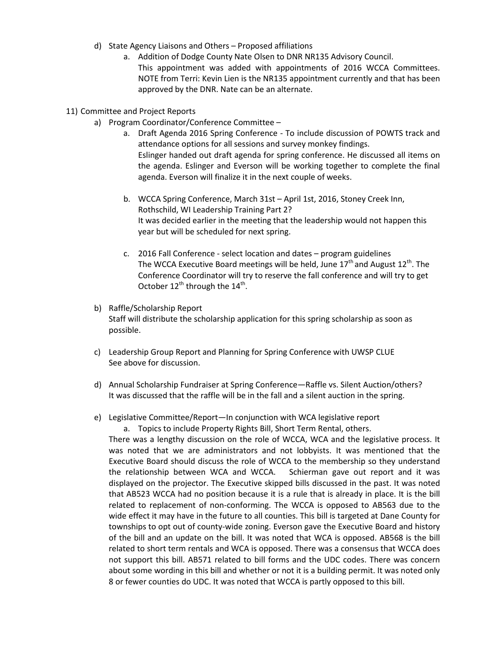- d) State Agency Liaisons and Others Proposed affiliations
	- a. Addition of Dodge County Nate Olsen to DNR NR135 Advisory Council. This appointment was added with appointments of 2016 WCCA Committees. NOTE from Terri: Kevin Lien is the NR135 appointment currently and that has been approved by the DNR. Nate can be an alternate.
- 11) Committee and Project Reports
	- a) Program Coordinator/Conference Committee
		- a. Draft Agenda 2016 Spring Conference To include discussion of POWTS track and attendance options for all sessions and survey monkey findings. Eslinger handed out draft agenda for spring conference. He discussed all items on the agenda. Eslinger and Everson will be working together to complete the final agenda. Everson will finalize it in the next couple of weeks.
		- b. WCCA Spring Conference, March 31st April 1st, 2016, Stoney Creek Inn, Rothschild, WI Leadership Training Part 2? It was decided earlier in the meeting that the leadership would not happen this year but will be scheduled for next spring.
		- c. 2016 Fall Conference select location and dates program guidelines The WCCA Executive Board meetings will be held, June  $17<sup>th</sup>$  and August  $12<sup>th</sup>$ . The Conference Coordinator will try to reserve the fall conference and will try to get October  $12^{th}$  through the  $14^{th}$ .
	- b) Raffle/Scholarship Report Staff will distribute the scholarship application for this spring scholarship as soon as possible.
	- c) Leadership Group Report and Planning for Spring Conference with UWSP CLUE See above for discussion.
	- d) Annual Scholarship Fundraiser at Spring Conference—Raffle vs. Silent Auction/others? It was discussed that the raffle will be in the fall and a silent auction in the spring.
	- e) Legislative Committee/Report—In conjunction with WCA legislative report

a. Topics to include Property Rights Bill, Short Term Rental, others.

There was a lengthy discussion on the role of WCCA, WCA and the legislative process. It was noted that we are administrators and not lobbyists. It was mentioned that the Executive Board should discuss the role of WCCA to the membership so they understand the relationship between WCA and WCCA. Schierman gave out report and it was displayed on the projector. The Executive skipped bills discussed in the past. It was noted that AB523 WCCA had no position because it is a rule that is already in place. It is the bill related to replacement of non-conforming. The WCCA is opposed to AB563 due to the wide effect it may have in the future to all counties. This bill is targeted at Dane County for townships to opt out of county-wide zoning. Everson gave the Executive Board and history of the bill and an update on the bill. It was noted that WCA is opposed. AB568 is the bill related to short term rentals and WCA is opposed. There was a consensus that WCCA does not support this bill. AB571 related to bill forms and the UDC codes. There was concern about some wording in this bill and whether or not it is a building permit. It was noted only 8 or fewer counties do UDC. It was noted that WCCA is partly opposed to this bill.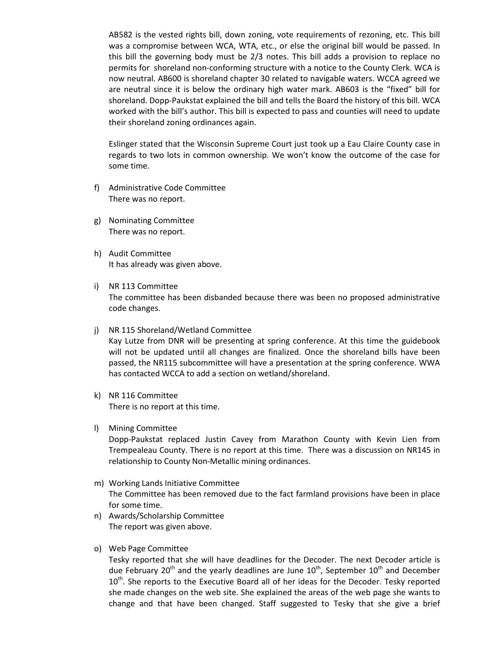AB582 is the vested rights bill, down zoning, vote requirements of rezoning, etc. This bill was a compromise between WCA, WTA, etc., or else the original bill would be passed. In this bill the governing body must be 2/3 notes. This bill adds a provision to replace no permits for shoreland non-conforming structure with a notice to the County Clerk. WCA is now neutral. AB600 is shoreland chapter 30 related to navigable waters. WCCA agreed we are neutral since it is below the ordinary high water mark. AB603 is the "fixed" bill for shoreland. Dopp-Paukstat explained the bill and tells the Board the history of this bill. WCA worked with the bill's author. This bill is expected to pass and counties will need to update their shoreland zoning ordinances again.

Eslinger stated that the Wisconsin Supreme Court just took up a Eau Claire County case in regards to two lots in common ownership. We won't know the outcome of the case for some time.

- f) Administrative Code Committee There was no report.
- g) Nominating Committee There was no report.
- h) Audit Committee It has already was given above.
- i) NR 113 Committee The committee has been disbanded because there was been no proposed administrative code changes.
- j) NR 115 Shoreland/Wetland Committee Kay Lutze from DNR will be presenting at spring conference. At this time the guidebook will not be updated until all changes are finalized. Once the shoreland bills have been passed, the NR115 subcommittee will have a presentation at the spring conference. WWA has contacted WCCA to add a section on wetland/shoreland.
- k) NR 116 Committee There is no report at this time.
- l) Mining Committee Dopp-Paukstat replaced Justin Cavey from Marathon County with Kevin Lien from Trempealeau County. There is no report at this time. There was a discussion on NR145 in relationship to County Non-Metallic mining ordinances.
- m) Working Lands Initiative Committee The Committee has been removed due to the fact farmland provisions have been in place for some time.
- n) Awards/Scholarship Committee The report was given above.
- o) Web Page Committee

Tesky reported that she will have deadlines for the Decoder. The next Decoder article is due February 20<sup>th</sup> and the yearly deadlines are June  $10^{th}$ , September  $10^{th}$  and December  $10<sup>th</sup>$ . She reports to the Executive Board all of her ideas for the Decoder. Tesky reported she made changes on the web site. She explained the areas of the web page she wants to change and that have been changed. Staff suggested to Tesky that she give a brief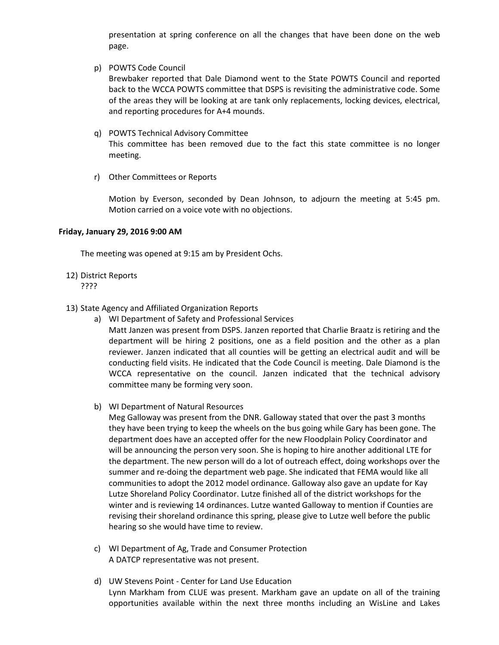presentation at spring conference on all the changes that have been done on the web page.

p) POWTS Code Council

Brewbaker reported that Dale Diamond went to the State POWTS Council and reported back to the WCCA POWTS committee that DSPS is revisiting the administrative code. Some of the areas they will be looking at are tank only replacements, locking devices, electrical, and reporting procedures for A+4 mounds.

- q) POWTS Technical Advisory Committee This committee has been removed due to the fact this state committee is no longer meeting.
- r) Other Committees or Reports

Motion by Everson, seconded by Dean Johnson, to adjourn the meeting at 5:45 pm. Motion carried on a voice vote with no objections.

## **Friday, January 29, 2016 9:00 AM**

The meeting was opened at 9:15 am by President Ochs.

12) District Reports

????

- 13) State Agency and Affiliated Organization Reports
	- a) WI Department of Safety and Professional Services

Matt Janzen was present from DSPS. Janzen reported that Charlie Braatz is retiring and the department will be hiring 2 positions, one as a field position and the other as a plan reviewer. Janzen indicated that all counties will be getting an electrical audit and will be conducting field visits. He indicated that the Code Council is meeting. Dale Diamond is the WCCA representative on the council. Janzen indicated that the technical advisory committee many be forming very soon.

b) WI Department of Natural Resources

Meg Galloway was present from the DNR. Galloway stated that over the past 3 months they have been trying to keep the wheels on the bus going while Gary has been gone. The department does have an accepted offer for the new Floodplain Policy Coordinator and will be announcing the person very soon. She is hoping to hire another additional LTE for the department. The new person will do a lot of outreach effect, doing workshops over the summer and re-doing the department web page. She indicated that FEMA would like all communities to adopt the 2012 model ordinance. Galloway also gave an update for Kay Lutze Shoreland Policy Coordinator. Lutze finished all of the district workshops for the winter and is reviewing 14 ordinances. Lutze wanted Galloway to mention if Counties are revising their shoreland ordinance this spring, please give to Lutze well before the public hearing so she would have time to review.

- c) WI Department of Ag, Trade and Consumer Protection A DATCP representative was not present.
- d) UW Stevens Point Center for Land Use Education Lynn Markham from CLUE was present. Markham gave an update on all of the training opportunities available within the next three months including an WisLine and Lakes